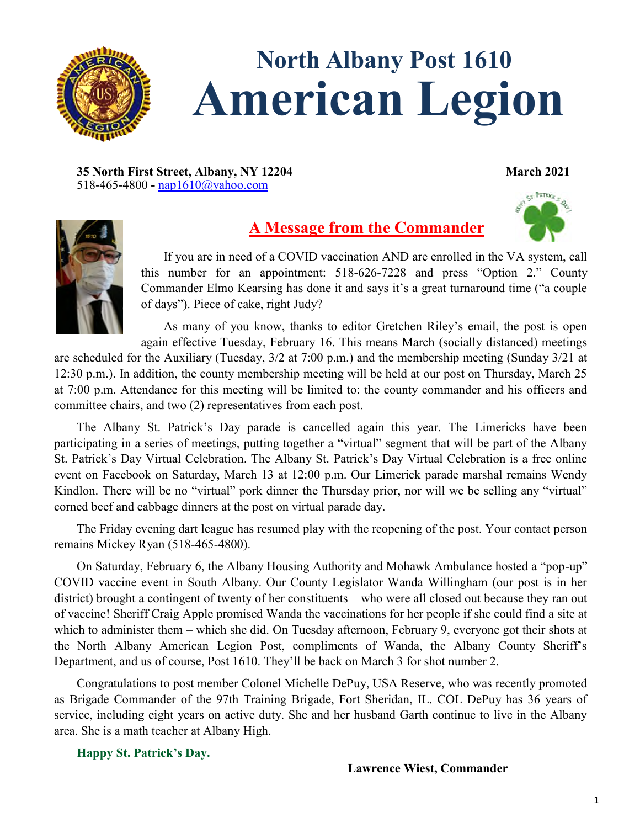

# **North Albany Post 1610 American Legion**

**35 North First Street, Albany, NY 12204 March 2021** 518-465-4800 **-** [nap1610@yahoo.com](mailto:nap1610@yahoo.com)

## **A Message from the Commander**

If you are in need of a COVID vaccination AND are enrolled in the VA system, call this number for an appointment: 518-626-7228 and press "Option 2." County Commander Elmo Kearsing has done it and says it's a great turnaround time ("a couple of days"). Piece of cake, right Judy?

As many of you know, thanks to editor Gretchen Riley's email, the post is open again effective Tuesday, February 16. This means March (socially distanced) meetings

are scheduled for the Auxiliary (Tuesday, 3/2 at 7:00 p.m.) and the membership meeting (Sunday 3/21 at 12:30 p.m.). In addition, the county membership meeting will be held at our post on Thursday, March 25 at 7:00 p.m. Attendance for this meeting will be limited to: the county commander and his officers and committee chairs, and two (2) representatives from each post.

The Albany St. Patrick's Day parade is cancelled again this year. The Limericks have been participating in a series of meetings, putting together a "virtual" segment that will be part of the Albany St. Patrick's Day Virtual Celebration. The Albany St. Patrick's Day Virtual Celebration is a free online event on Facebook on Saturday, March 13 at 12:00 p.m. Our Limerick parade marshal remains Wendy Kindlon. There will be no "virtual" pork dinner the Thursday prior, nor will we be selling any "virtual" corned beef and cabbage dinners at the post on virtual parade day.

The Friday evening dart league has resumed play with the reopening of the post. Your contact person remains Mickey Ryan (518-465-4800).

On Saturday, February 6, the Albany Housing Authority and Mohawk Ambulance hosted a "pop-up" COVID vaccine event in South Albany. Our County Legislator Wanda Willingham (our post is in her district) brought a contingent of twenty of her constituents – who were all closed out because they ran out of vaccine! Sheriff Craig Apple promised Wanda the vaccinations for her people if she could find a site at which to administer them – which she did. On Tuesday afternoon, February 9, everyone got their shots at the North Albany American Legion Post, compliments of Wanda, the Albany County Sheriff's Department, and us of course, Post 1610. They'll be back on March 3 for shot number 2.

Congratulations to post member Colonel Michelle DePuy, USA Reserve, who was recently promoted as Brigade Commander of the 97th Training Brigade, Fort Sheridan, IL. COL DePuy has 36 years of service, including eight years on active duty. She and her husband Garth continue to live in the Albany area. She is a math teacher at Albany High.

**Happy St. Patrick's Day.**

#### **Lawrence Wiest, Commander**

55 FATRICE